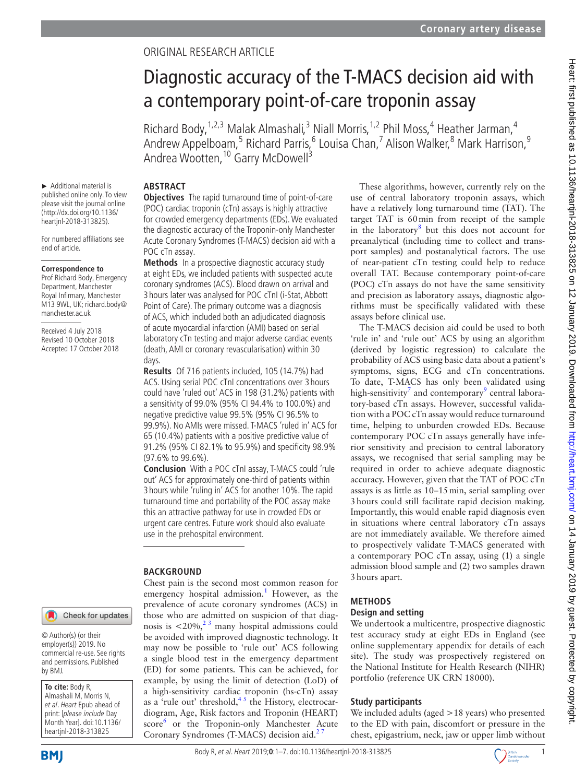# Original research article

# Diagnostic accuracy of the T-MACS decision aid with a contemporary point-of-care troponin assay

Richard Body,<sup>1,2,3</sup> Malak Almashali,<sup>3</sup> Niall Morris,<sup>1,2</sup> Phil Moss,<sup>4</sup> Heather Jarman,<sup>4</sup> Andrew Appelboam,<sup>5</sup> Richard Parris,<sup>6</sup> Louisa Chan,<sup>7</sup> Alison Walker,<sup>8</sup> Mark Harrison,<sup>9</sup> Andrea Wootten,<sup>10</sup> Garry McDowell<sup>3</sup>

# **Abstract**

► Additional material is published online only. To view please visit the journal online (http://dx.doi.org/10.1136/ heartjnl-2018-313825).

For numbered affiliations see end of article.

#### **Correspondence to**

Prof Richard Body, Emergency Department, Manchester Royal Infirmary, Manchester M13 9WL, UK; richard.body@ manchester.ac.uk

Received 4 July 2018 Revised 10 October 2018 Accepted 17 October 2018



© Author(s) (or their employer(s)) 2019. No commercial re-use. See rights and permissions. Published by BMJ.

**To cite:** Body R, Almashali M, Morris N, et al. Heart Epub ahead of print: [please include Day Month Year]. doi:10.1136/ heartjnl-2018-313825

**Objectives** The rapid turnaround time of point-of-care (POC) cardiac troponin (cTn) assays is highly attractive for crowded emergency departments (EDs). We evaluated the diagnostic accuracy of the Troponin-only Manchester Acute Coronary Syndromes (T-MACS) decision aid with a POC cTn assay.

**Methods** In a prospective diagnostic accuracy study at eight EDs, we included patients with suspected acute coronary syndromes (ACS). Blood drawn on arrival and 3 hours later was analysed for POC cTnI (i-Stat, Abbott Point of Care). The primary outcome was a diagnosis of ACS, which included both an adjudicated diagnosis of acute myocardial infarction (AMI) based on serial laboratory cTn testing and major adverse cardiac events (death, AMI or coronary revascularisation) within 30 days.

**Results** Of 716 patients included, 105 (14.7%) had ACS . Using serial POC cTnI concentrations over 3 hours could have 'ruled out' ACS in 198 (31.2%) patients with a sensitivity of 99.0% (95% CI 94.4% to 100.0%) and negative predictive value 99.5% (95% CI 96.5% to 99.9%). No AMIs were missed. T-MACS 'ruled in' ACS for 65 (10.4%) patients with a positive predictive value of 91.2% (95% CI 82.1% to 95.9%) and specificity 98.9% (97.6% to 99.6%).

**Conclusion** With a POC cTnI assay, T-MACS could 'rule out' ACS for approximately one-third of patients within 3 hours while 'ruling in' ACS for another 10%. The rapid turnaround time and portability of the POC assay make this an attractive pathway for use in crowded EDs or urgent care centres. Future work should also evaluate use in the prehospital environment.

# **BACKGROUND**

Chest pain is the second most common reason for emergency hospital admission.<sup>1</sup> However, as the prevalence of acute coronary syndromes (ACS) in those who are admitted on suspicion of that diagnosis is  $\langle 20\%, \frac{2}{3} \rangle$  many hospital admissions could be avoided with improved diagnostic technology. It may now be possible to 'rule out' ACS following a single blood test in the emergency department (ED) for some patients. This can be achieved, for example, by using the limit of detection (LoD) of a high-sensitivity cardiac troponin (hs-cTn) assay as a 'rule out' threshold, $4<sup>5</sup>$  the History, electrocardiogram, Age, Risk factors and Troponin (HEART) score<sup>[6](#page-6-1)</sup> or the Troponin-only Manchester Acute Coronary Syndromes (T-MACS) decision aid.<sup>2</sup>

These algorithms, however, currently rely on the use of central laboratory troponin assays, which have a relatively long turnaround time (TAT). The target TAT is 60min from receipt of the sample in the laboratory<sup>[8](#page-6-2)</sup> but this does not account for preanalytical (including time to collect and transport samples) and postanalytical factors. The use of near-patient cTn testing could help to reduce overall TAT. Because contemporary point-of-care (POC) cTn assays do not have the same sensitivity and precision as laboratory assays, diagnostic algorithms must be specifically validated with these assays before clinical use.

The T-MACS decision aid could be used to both 'rule in' and 'rule out' ACS by using an algorithm (derived by logistic regression) to calculate the probability of ACS using basic data about a patient's symptoms, signs, ECG and cTn concentrations. To date, T-MACS has only been validated using high-sensitivity<sup>[7](#page-6-3)</sup> and contemporary<sup>[9](#page-6-4)</sup> central laboratory-based cTn assays. However, successful validation with a POC cTn assay would reduce turnaround time, helping to unburden crowded EDs. Because contemporary POC cTn assays generally have inferior sensitivity and precision to central laboratory assays, we recognised that serial sampling may be required in order to achieve adequate diagnostic accuracy. However, given that the TAT of POC cTn assays is as little as 10–15min, serial sampling over 3hours could still facilitate rapid decision making. Importantly, this would enable rapid diagnosis even in situations where central laboratory cTn assays are not immediately available. We therefore aimed to prospectively validate T-MACS generated with a contemporary POC cTn assay, using (1) a single admission blood sample and (2) two samples drawn 3hours apart.

# **Methods**

# **Design and setting**

We undertook a multicentre, prospective diagnostic test accuracy study at eight EDs in England (see online [supplementary appendix](https://dx.doi.org/10.1136/heartjnl-2018-313825) for details of each site). The study was prospectively registered on the National Institute for Health Research (NIHR) portfolio (reference UK CRN 18000).

# **Study participants**

We included adults (aged  $>18$  years) who presented to the ED with pain, discomfort or pressure in the chest, epigastrium, neck, jaw or upper limb without



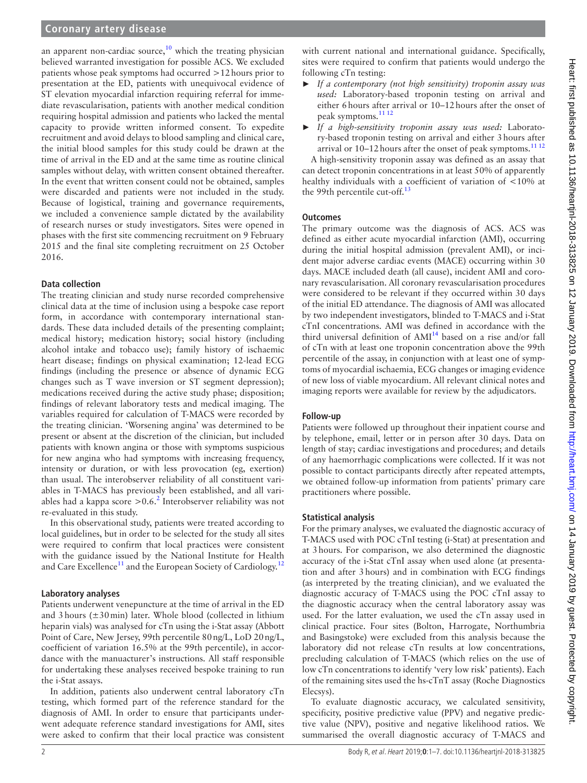#### **Coronary artery disease**

an apparent non-cardiac source, $10$  which the treating physician believed warranted investigation for possible ACS. We excluded patients whose peak symptoms had occurred >12hours prior to presentation at the ED, patients with unequivocal evidence of ST elevation myocardial infarction requiring referral for immediate revascularisation, patients with another medical condition requiring hospital admission and patients who lacked the mental capacity to provide written informed consent. To expedite recruitment and avoid delays to blood sampling and clinical care, the initial blood samples for this study could be drawn at the time of arrival in the ED and at the same time as routine clinical samples without delay, with written consent obtained thereafter. In the event that written consent could not be obtained, samples were discarded and patients were not included in the study. Because of logistical, training and governance requirements, we included a convenience sample dictated by the availability of research nurses or study investigators. Sites were opened in phases with the first site commencing recruitment on 9 February 2015 and the final site completing recruitment on 25 October 2016.

#### **Data collection**

The treating clinician and study nurse recorded comprehensive clinical data at the time of inclusion using a bespoke case report form, in accordance with contemporary international standards. These data included details of the presenting complaint; medical history; medication history; social history (including alcohol intake and tobacco use); family history of ischaemic heart disease; findings on physical examination; 12-lead ECG findings (including the presence or absence of dynamic ECG changes such as T wave inversion or ST segment depression); medications received during the active study phase; disposition; findings of relevant laboratory tests and medical imaging. The variables required for calculation of T-MACS were recorded by the treating clinician. 'Worsening angina' was determined to be present or absent at the discretion of the clinician, but included patients with known angina or those with symptoms suspicious for new angina who had symptoms with increasing frequency, intensity or duration, or with less provocation (eg, exertion) than usual. The interobserver reliability of all constituent variables in T-MACS has previously been established, and all variables had a kappa score  $> 0.6$ <sup>[2](#page-5-1)</sup> Interobserver reliability was not re-evaluated in this study.

In this observational study, patients were treated according to local guidelines, but in order to be selected for the study all sites were required to confirm that local practices were consistent with the guidance issued by the National Institute for Health and Care Excellence<sup>[11](#page-6-6)</sup> and the European Society of Cardiology.<sup>[12](#page-6-7)</sup>

#### **Laboratory analyses**

Patients underwent venepuncture at the time of arrival in the ED and 3 hours  $(\pm 30 \text{ min})$  later. Whole blood (collected in lithium heparin vials) was analysed for cTn using the i-Stat assay (Abbott Point of Care, New Jersey, 99th percentile 80ng/L, LoD 20ng/L, coefficient of variation 16.5% at the 99th percentile), in accordance with the manuacturer's instructions. All staff responsible for undertaking these analyses received bespoke training to run the i-Stat assays.

In addition, patients also underwent central laboratory cTn testing, which formed part of the reference standard for the diagnosis of AMI. In order to ensure that participants underwent adequate reference standard investigations for AMI, sites were asked to confirm that their local practice was consistent with current national and international guidance. Specifically, sites were required to confirm that patients would undergo the following cTn testing:

- ► *If a contemporary (not high sensitivity) troponin assay was used:* Laboratory-based troponin testing on arrival and either 6hours after arrival or 10–12hours after the onset of peak symptoms.[11 12](#page-6-6)
- ► *If a high-sensitivity troponin assay was used:* Laboratory-based troponin testing on arrival and either 3hours after arrival or  $10-12$  hours after the onset of peak symptoms.<sup>[11 12](#page-6-6)</sup>

A high-sensitivity troponin assay was defined as an assay that can detect troponin concentrations in at least 50% of apparently healthy individuals with a coefficient of variation of <10% at the 99th percentile cut-off.<sup>13</sup>

#### **Outcomes**

The primary outcome was the diagnosis of ACS. ACS was defined as either acute myocardial infarction (AMI), occurring during the initial hospital admission (prevalent AMI), or incident major adverse cardiac events (MACE) occurring within 30 days. MACE included death (all cause), incident AMI and coronary revascularisation. All coronary revascularisation procedures were considered to be relevant if they occurred within 30 days of the initial ED attendance. The diagnosis of AMI was allocated by two independent investigators, blinded to T-MACS and i-Stat cTnI concentrations. AMI was defined in accordance with the third universal definition of  $AMI<sup>14</sup>$  based on a rise and/or fall of cTn with at least one troponin concentration above the 99th percentile of the assay, in conjunction with at least one of symptoms of myocardial ischaemia, ECG changes or imaging evidence of new loss of viable myocardium. All relevant clinical notes and imaging reports were available for review by the adjudicators.

#### **Follow-up**

Patients were followed up throughout their inpatient course and by telephone, email, letter or in person after 30 days. Data on length of stay; cardiac investigations and procedures; and details of any haemorrhagic complications were collected. If it was not possible to contact participants directly after repeated attempts, we obtained follow-up information from patients' primary care practitioners where possible.

#### **Statistical analysis**

For the primary analyses, we evaluated the diagnostic accuracy of T-MACS used with POC cTnI testing (i-Stat) at presentation and at 3hours. For comparison, we also determined the diagnostic accuracy of the i-Stat cTnI assay when used alone (at presentation and after 3hours) and in combination with ECG findings (as interpreted by the treating clinician), and we evaluated the diagnostic accuracy of T-MACS using the POC cTnI assay to the diagnostic accuracy when the central laboratory assay was used. For the latter evaluation, we used the cTn assay used in clinical practice. Four sites (Bolton, Harrogate, Northumbria and Basingstoke) were excluded from this analysis because the laboratory did not release cTn results at low concentrations, precluding calculation of T-MACS (which relies on the use of low cTn concentrations to identify 'very low risk' patients). Each of the remaining sites used the hs-cTnT assay (Roche Diagnostics Elecsys).

To evaluate diagnostic accuracy, we calculated sensitivity, specificity, positive predictive value (PPV) and negative predictive value (NPV), positive and negative likelihood ratios. We summarised the overall diagnostic accuracy of T-MACS and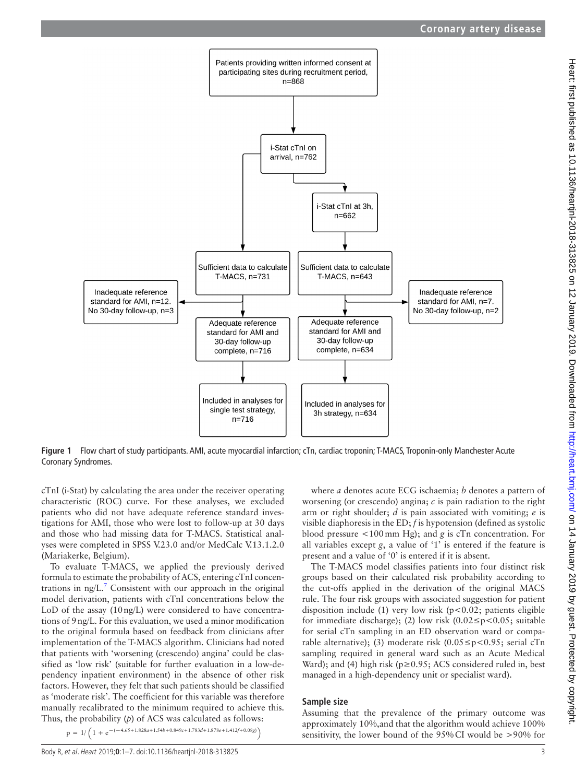

<span id="page-2-0"></span>**Figure 1** Flow chart of study participants. AMI, acute myocardial infarction; cTn, cardiac troponin; T-MACS, Troponin-only Manchester Acute Coronary Syndromes.

cTnI (i-Stat) by calculating the area under the receiver operating characteristic (ROC) curve. For these analyses, we excluded patients who did not have adequate reference standard investigations for AMI, those who were lost to follow-up at 30 days and those who had missing data for T-MACS. Statistical analyses were completed in SPSS V.23.0 and/or MedCalc V.13.1.2.0 (Mariakerke, Belgium).

To evaluate T-MACS, we applied the previously derived formula to estimate the probability of ACS, entering cTnI concentrations in ng/ $L^7$  Consistent with our approach in the original model derivation, patients with cTnI concentrations below the LoD of the assay (10ng/L) were considered to have concentrations of 9ng/L. For this evaluation, we used a minor modification to the original formula based on feedback from clinicians after implementation of the T-MACS algorithm. Clinicians had noted that patients with 'worsening (crescendo) angina' could be classified as 'low risk' (suitable for further evaluation in a low-dependency inpatient environment) in the absence of other risk factors. However, they felt that such patients should be classified as 'moderate risk'. The coefficient for this variable was therefore manually recalibrated to the minimum required to achieve this. Thus, the probability (*p*) of ACS was calculated as follows:

> $p = 1/ (1 + e)$ 1+e*−*(*−*4.65+1.828*a*+1.54*b*+0.849*c*+1.783*d*+1.878*e*+1.412*f*+0.08*g*) )

where *a* denotes acute ECG ischaemia; *b* denotes a pattern of worsening (or crescendo) angina; *c* is pain radiation to the right arm or right shoulder; *d* is pain associated with vomiting; *e* is visible diaphoresis in the ED; *f* is hypotension (defined as systolic blood pressure <100mm Hg); and *g* is cTn concentration. For all variables except *g*, a value of '1' is entered if the feature is present and a value of '0' is entered if it is absent.

The T-MACS model classifies patients into four distinct risk groups based on their calculated risk probability according to the cut-offs applied in the derivation of the original MACS rule. The four risk groups with associated suggestion for patient disposition include (1) very low risk (p<0.02; patients eligible for immediate discharge); (2) low risk  $(0.02 \le p < 0.05$ ; suitable for serial cTn sampling in an ED observation ward or comparable alternative); (3) moderate risk  $(0.05 \le p < 0.95$ ; serial cTn sampling required in general ward such as an Acute Medical Ward); and (4) high risk ( $p \ge 0.95$ ; ACS considered ruled in, best managed in a high-dependency unit or specialist ward).

#### **Sample size**

Assuming that the prevalence of the primary outcome was approximately 10%,and that the algorithm would achieve 100% sensitivity, the lower bound of the 95%CI would be >90% for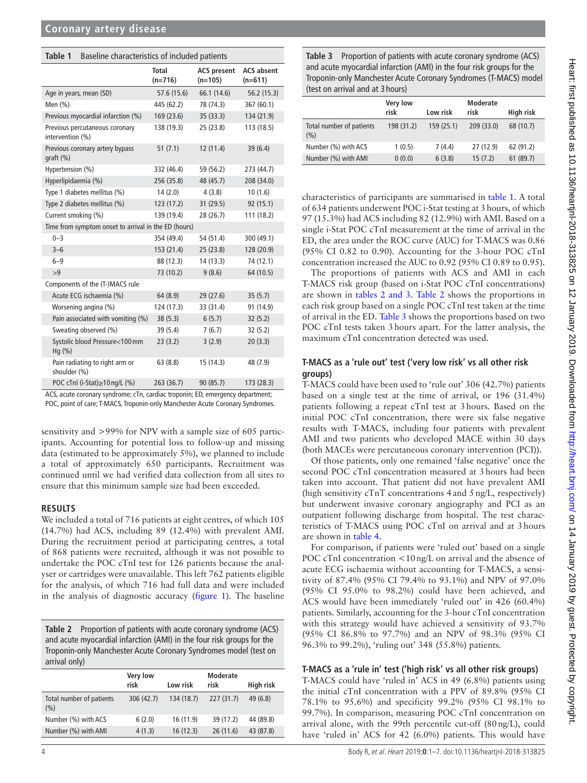## **Coronary artery disease**

#### <span id="page-3-0"></span>**Table 1** Baseline characteristics of included patients

|                                                      | <b>Total</b><br>$(n=716)$ | <b>ACS</b> present<br>$(n=105)$ | <b>ACS absent</b><br>$(n=611)$ |  |  |
|------------------------------------------------------|---------------------------|---------------------------------|--------------------------------|--|--|
| Age in years, mean (SD)                              | 57.6 (15.6)               | 66.1 (14.6)                     | 56.2 (15.3)                    |  |  |
| Men $(\% )$                                          | 445 (62.2)                | 78 (74.3)                       | 367 (60.1)                     |  |  |
| Previous myocardial infarction (%)                   | 169 (23.6)                | 35 (33.3)                       | 134 (21.9)                     |  |  |
| Previous percutaneous coronary<br>intervention (%)   | 138 (19.3)                | 25 (23.8)                       | 113 (18.5)                     |  |  |
| Previous coronary artery bypass<br>$q$ raft $(\%)$   | 51(7.1)                   | 12(11.4)                        | 39(6.4)                        |  |  |
| Hypertension (%)                                     | 332 (46.4)                | 59 (56.2)                       | 273 (44.7)                     |  |  |
| Hyperlipidaemia (%)                                  | 256 (35.8)                | 48 (45.7)                       | 208 (34.0)                     |  |  |
| Type 1 diabetes mellitus (%)                         | 14(2.0)                   | 4(3.8)                          | 10(1.6)                        |  |  |
| Type 2 diabetes mellitus (%)                         | 123 (17.2)                | 31 (29.5)                       | 92 (15.1)                      |  |  |
| Current smoking (%)                                  | 139 (19.4)                | 28 (26.7)                       | 111 (18.2)                     |  |  |
| Time from symptom onset to arrival in the ED (hours) |                           |                                 |                                |  |  |
| $0 - 3$                                              | 354 (49.4)                | 54 (51.4)                       | 300 (49.1)                     |  |  |
| $3 - 6$                                              | 153 (21.4)                | 25(23.8)                        | 128 (20.9)                     |  |  |
| $6 - 9$                                              | 88 (12.3)                 | 14 (13.3)                       | 74 (12.1)                      |  |  |
| >9                                                   | 73 (10.2)                 | 9(8.6)                          | 64 (10.5)                      |  |  |
| Components of the (T-)MACS rule                      |                           |                                 |                                |  |  |
| Acute ECG ischaemia (%)                              | 64 (8.9)                  | 29 (27.6)                       | 35(5.7)                        |  |  |
| Worsening angina (%)                                 | 124 (17.3)                | 33 (31.4)                       | 91 (14.9)                      |  |  |
| Pain associated with vomiting (%)                    | 38(5.3)                   | 6(5.7)                          | 32(5.2)                        |  |  |
| Sweating observed (%)                                | 39 (5.4)                  | 7(6.7)                          | 32(5.2)                        |  |  |
| Systolic blood Pressure<100 mm<br>Hq $(\%)$          | 23(3.2)                   | 3(2.9)                          | 20(3.3)                        |  |  |
| Pain radiating to right arm or<br>shoulder (%)       | 63(8.8)                   | 15 (14.3)                       | 48 (7.9)                       |  |  |
| POC cTnI (i-Stat)≥10 ng/L (%)                        | 263 (36.7)                | 90 (85.7)                       | 173 (28.3)                     |  |  |

ACS, acute coronary syndrome; cTn, cardiac troponin; ED, emergency department; POC, point of care; T-MACS, Troponin-only Manchester Acute Coronary Syndromes.

sensitivity and >99% for NPV with a sample size of 605 participants. Accounting for potential loss to follow-up and missing data (estimated to be approximately 5%), we planned to include a total of approximately 650 participants. Recruitment was continued until we had verified data collection from all sites to ensure that this minimum sample size had been exceeded.

#### **Results**

We included a total of 716 patients at eight centres, of which 105 (14.7%) had ACS, including 89 (12.4%) with prevalent AMI. During the recruitment period at participating centres, a total of 868 patients were recruited, although it was not possible to undertake the POC cTnI test for 126 patients because the analyser or cartridges were unavailable. This left 762 patients eligible for the analysis, of which 716 had full data and were included in the analysis of diagnostic accuracy ([figure](#page-2-0) 1). The baseline

<span id="page-3-1"></span>**Table 2** Proportion of patients with acute coronary syndrome (ACS) and acute myocardial infarction (AMI) in the four risk groups for the Troponin-only Manchester Acute Coronary Syndromes model (test on arrival only)

| <b>Very low</b><br>risk | Low risk  | <b>Moderate</b><br>risk | High risk |
|-------------------------|-----------|-------------------------|-----------|
| 306 (42.7)              | 134(18.7) | 227(31.7)               | 49(6.8)   |
| 6(2.0)                  | 16 (11.9) | 39 (17.2)               | 44 (89.8) |
| 4(1.3)                  | 16(12.3)  | 26(11.6)                | 43 (87.8) |
|                         |           |                         |           |

<span id="page-3-2"></span>**Table 3** Proportion of patients with acute coronary syndrome (ACS) and acute myocardial infarction (AMI) in the four risk groups for the Troponin-only Manchester Acute Coronary Syndromes (T-MACS) model (test on arrival and at 3 hours)

|                                 | Very low<br>risk | Low risk  | Moderate<br>risk | High risk |
|---------------------------------|------------------|-----------|------------------|-----------|
| Total number of patients<br>(%) | 198 (31.2)       | 159(25.1) | 209 (33.0)       | 68 (10.7) |
| Number (%) with ACS             | 1(0.5)           | 7(4.4)    | 27 (12.9)        | 62 (91.2) |
| Number (%) with AMI             | 0(0.0)           | 6(3.8)    | 15(7.2)          | 61(89.7)  |

characteristics of participants are summarised in [table](#page-3-0) 1. A total of 634 patients underwent POC i-Stat testing at 3hours, of which 97 (15.3%) had ACS including 82 (12.9%) with AMI. Based on a single i-Stat POC cTnI measurement at the time of arrival in the ED, the area under the ROC curve (AUC) for T-MACS was 0.86 (95% CI 0.82 to 0.90). Accounting for the 3-hour POC cTnI concentration increased the AUC to 0.92 (95% CI 0.89 to 0.95).

The proportions of patients with ACS and AMI in each T-MACS risk group (based on i-Stat POC cTnI concentrations) are shown in tables [2 and 3.](#page-3-1) [Table](#page-3-1) 2 shows the proportions in each risk group based on a single POC cTnI test taken at the time of arrival in the ED. [Table](#page-3-2) 3 shows the proportions based on two POC cTnI tests taken 3hours apart. For the latter analysis, the maximum cTnI concentration detected was used.

#### **T-MACS as a 'rule out' test ('very low risk' vs all other risk groups)**

T-MACS could have been used to 'rule out' 306 (42.7%) patients based on a single test at the time of arrival, or 196 (31.4%) patients following a repeat cTnI test at 3hours. Based on the initial POC cTnI concentration, there were six false negative results with T-MACS, including four patients with prevalent AMI and two patients who developed MACE within 30 days (both MACEs were percutaneous coronary intervention (PCI)).

Of those patients, only one remained 'false negative' once the second POC cTnI concentration measured at 3hours had been taken into account. That patient did not have prevalent AMI (high sensitivity cTnT concentrations 4and 5ng/L, respectively) but underwent invasive coronary angiography and PCI as an outpatient following discharge from hospital. The test characteristics of T-MACS using POC cTnI on arrival and at 3hours are shown in [table](#page-4-0) 4.

For comparison, if patients were 'ruled out' based on a single POC cTnI concentration <10ng/L on arrival and the absence of acute ECG ischaemia without accounting for T-MACS, a sensitivity of 87.4% (95% CI 79.4% to 93.1%) and NPV of 97.0% (95% CI 95.0% to 98.2%) could have been achieved, and ACS would have been immediately 'ruled out' in 426 (60.4%) patients. Similarly, accounting for the 3-hour cTnI concentration with this strategy would have achieved a sensitivity of 93.7% (95% CI 86.8% to 97.7%) and an NPV of 98.3% (95% CI 96.3% to 99.2%), 'ruling out' 348 (55.8%) patients.

#### **T-MACS as a 'rule in' test ('high risk' vs all other risk groups)**

T-MACS could have 'ruled in' ACS in 49 (6.8%) patients using the initial cTnI concentration with a PPV of 89.8% (95% CI 78.1% to 95.6%) and specificity 99.2% (95% CI 98.1% to 99.7%). In comparison, measuring POC cTnI concentration on arrival alone, with the 99th percentile cut-off (80ng/L), could have 'ruled in' ACS for 42 (6.0%) patients. This would have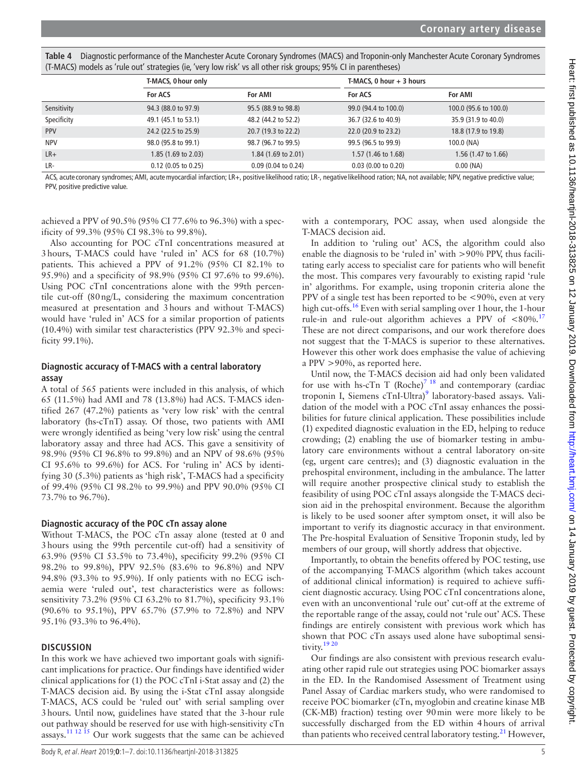<span id="page-4-0"></span>**Table 4** Diagnostic performance of the Manchester Acute Coronary Syndromes (MACS) and Troponin-only Manchester Acute Coronary Syndromes (T-MACS) models as 'rule out' strategies (ie, 'very low risk' vs all other risk groups; 95% CI in parentheses)

|             | T-MACS, 0 hour only   |                       | T-MACS, 0 hour $+$ 3 hours |                       |
|-------------|-----------------------|-----------------------|----------------------------|-----------------------|
|             | For ACS               | For AMI               | <b>For ACS</b>             | <b>For AMI</b>        |
| Sensitivity | 94.3 (88.0 to 97.9)   | 95.5 (88.9 to 98.8)   | 99.0 (94.4 to 100.0)       | 100.0 (95.6 to 100.0) |
| Specificity | 49.1 (45.1 to 53.1)   | 48.2 (44.2 to 52.2)   | 36.7 (32.6 to 40.9)        | 35.9 (31.9 to 40.0)   |
| <b>PPV</b>  | 24.2 (22.5 to 25.9)   | 20.7 (19.3 to 22.2)   | 22.0 (20.9 to 23.2)        | 18.8 (17.9 to 19.8)   |
| <b>NPV</b>  | 98.0 (95.8 to 99.1)   | 98.7 (96.7 to 99.5)   | 99.5 (96.5 to 99.9)        | 100.0 (NA)            |
| $LR+$       | 1.85 (1.69 to 2.03)   | 1.84 (1.69 to 2.01)   | 1.57 (1.46 to 1.68)        | 1.56 (1.47 to 1.66)   |
| LR-         | $0.12$ (0.05 to 0.25) | $0.09$ (0.04 to 0.24) | $0.03$ (0.00 to 0.20)      | $0.00$ (NA)           |

ACS, acute coronary syndromes; AMI, acutemyocardial infarction; LR+, positive likelihood ratio; LR-, negative likelihood ration; NA, not available; NPV, negative predictive value; PPV, positive predictive value.

achieved a PPV of 90.5% (95% CI 77.6% to 96.3%) with a specificity of 99.3% (95% CI 98.3% to 99.8%).

Also accounting for POC cTnI concentrations measured at 3hours, T-MACS could have 'ruled in' ACS for 68 (10.7%) patients. This achieved a PPV of 91.2% (95% CI 82.1% to 95.9%) and a specificity of 98.9% (95% CI 97.6% to 99.6%). Using POC cTnI concentrations alone with the 99th percentile cut-off (80ng/L, considering the maximum concentration measured at presentation and 3hours and without T-MACS) would have 'ruled in' ACS for a similar proportion of patients (10.4%) with similar test characteristics (PPV 92.3% and specificity 99.1%).

### **Diagnostic accuracy of T-MACS with a central laboratory assay**

A total of 565 patients were included in this analysis, of which 65 (11.5%) had AMI and 78 (13.8%) had ACS. T-MACS identified 267 (47.2%) patients as 'very low risk' with the central laboratory (hs-cTnT) assay. Of those, two patients with AMI were wrongly identified as being 'very low risk' using the central laboratory assay and three had ACS. This gave a sensitivity of 98.9% (95% CI 96.8% to 99.8%) and an NPV of 98.6% (95% CI 95.6% to 99.6%) for ACS. For 'ruling in' ACS by identifying 30 (5.3%) patients as 'high risk', T-MACS had a specificity of 99.4% (95% CI 98.2% to 99.9%) and PPV 90.0% (95% CI 73.7% to 96.7%).

#### **Diagnostic accuracy of the POC cTn assay alone**

Without T-MACS, the POC cTn assay alone (tested at 0 and 3hours using the 99th percentile cut-off) had a sensitivity of 63.9% (95% CI 53.5% to 73.4%), specificity 99.2% (95% CI 98.2% to 99.8%), PPV 92.5% (83.6% to 96.8%) and NPV 94.8% (93.3% to 95.9%). If only patients with no ECG ischaemia were 'ruled out', test characteristics were as follows: sensitivity 73.2% (95% CI 63.2% to 81.7%), specificity 93.1% (90.6% to 95.1%), PPV 65.7% (57.9% to 72.8%) and NPV 95.1% (93.3% to 96.4%).

# **Discussion**

In this work we have achieved two important goals with significant implications for practice. Our findings have identified wider clinical applications for (1) the POC cTnI i-Stat assay and (2) the T-MACS decision aid. By using the i-Stat cTnI assay alongside T-MACS, ACS could be 'ruled out' with serial sampling over 3hours. Until now, guidelines have stated that the 3-hour rule out pathway should be reserved for use with high-sensitivity cTn assays[.11 12 15](#page-6-6) Our work suggests that the same can be achieved

with a contemporary, POC assay, when used alongside the T-MACS decision aid.

In addition to 'ruling out' ACS, the algorithm could also enable the diagnosis to be 'ruled in' with >90% PPV, thus facilitating early access to specialist care for patients who will benefit the most. This compares very favourably to existing rapid 'rule in' algorithms. For example, using troponin criteria alone the PPV of a single test has been reported to be  $\langle 90\%,$  even at very high cut-offs.<sup>[16](#page-6-10)</sup> Even with serial sampling over 1 hour, the 1-hour rule-in and rule-out algorithm achieves a PPV of  $\langle 80\% \cdot 17 \rangle$  $\langle 80\% \cdot 17 \rangle$  $\langle 80\% \cdot 17 \rangle$ These are not direct comparisons, and our work therefore does not suggest that the T-MACS is superior to these alternatives. However this other work does emphasise the value of achieving a PPV >90%, as reported here.

Until now, the T-MACS decision aid had only been validated for use with hs-cTn T (Roche)<sup>7 18</sup> and contemporary (cardiac troponin I, Siemens cTnI-Ultra)<sup>[9](#page-6-4)</sup> laboratory-based assays. Validation of the model with a POC cTnI assay enhances the possibilities for future clinical application. These possibilities include (1) expedited diagnostic evaluation in the ED, helping to reduce crowding; (2) enabling the use of biomarker testing in ambulatory care environments without a central laboratory on-site (eg, urgent care centres); and (3) diagnostic evaluation in the prehospital environment, including in the ambulance. The latter will require another prospective clinical study to establish the feasibility of using POC cTnI assays alongside the T-MACS decision aid in the prehospital environment. Because the algorithm is likely to be used sooner after symptom onset, it will also be important to verify its diagnostic accuracy in that environment. The Pre-hospital Evaluation of Sensitive Troponin study, led by members of our group, will shortly address that objective.

Importantly, to obtain the benefits offered by POC testing, use of the accompanying T-MACS algorithm (which takes account of additional clinical information) is required to achieve sufficient diagnostic accuracy. Using POC cTnI concentrations alone, even with an unconventional 'rule out' cut-off at the extreme of the reportable range of the assay, could not 'rule out' ACS. These findings are entirely consistent with previous work which has shown that POC cTn assays used alone have suboptimal sensitivity.[19 20](#page-6-12)

Our findings are also consistent with previous research evaluating other rapid rule out strategies using POC biomarker assays in the ED. In the Randomised Assessment of Treatment using Panel Assay of Cardiac markers study, who were randomised to receive POC biomarker (cTn, myoglobin and creatine kinase MB (CK-MB) fraction) testing over 90min were more likely to be successfully discharged from the ED within 4hours of arrival than patients who received central laboratory testing.<sup>21</sup> However,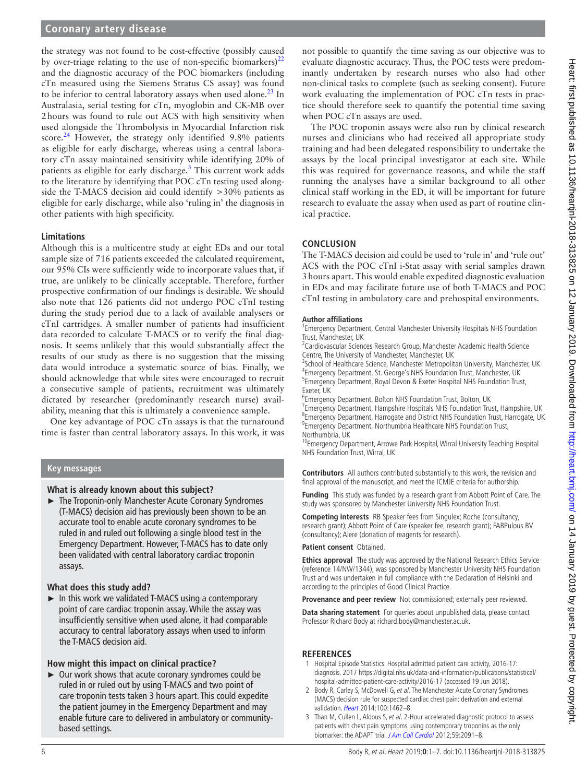# **Coronary artery disease**

the strategy was not found to be cost-effective (possibly caused by over-triage relating to the use of non-specific biomarkers)<sup>[22](#page-6-14)</sup> and the diagnostic accuracy of the POC biomarkers (including cTn measured using the Siemens Stratus CS assay) was found to be inferior to central laboratory assays when used alone.<sup>23</sup> In Australasia, serial testing for cTn, myoglobin and CK-MB over 2hours was found to rule out ACS with high sensitivity when used alongside the Thrombolysis in Myocardial Infarction risk score.<sup>24</sup> However, the strategy only identified  $9.8\%$  patients as eligible for early discharge, whereas using a central laboratory cTn assay maintained sensitivity while identifying 20% of patients as eligible for early discharge.<sup>[3](#page-5-2)</sup> This current work adds to the literature by identifying that POC cTn testing used alongside the T-MACS decision aid could identify >30% patients as eligible for early discharge, while also 'ruling in' the diagnosis in other patients with high specificity.

#### **Limitations**

Although this is a multicentre study at eight EDs and our total sample size of 716 patients exceeded the calculated requirement, our 95% CIs were sufficiently wide to incorporate values that, if true, are unlikely to be clinically acceptable. Therefore, further prospective confirmation of our findings is desirable. We should also note that 126 patients did not undergo POC cTnI testing during the study period due to a lack of available analysers or cTnI cartridges. A smaller number of patients had insufficient data recorded to calculate T-MACS or to verify the final diagnosis. It seems unlikely that this would substantially affect the results of our study as there is no suggestion that the missing data would introduce a systematic source of bias. Finally, we should acknowledge that while sites were encouraged to recruit a consecutive sample of patients, recruitment was ultimately dictated by researcher (predominantly research nurse) availability, meaning that this is ultimately a convenience sample.

One key advantage of POC cTn assays is that the turnaround time is faster than central laboratory assays. In this work, it was

#### **Key messages**

#### **What is already known about this subject?**

► The Troponin-only Manchester Acute Coronary Syndromes (T-MACS) decision aid has previously been shown to be an accurate tool to enable acute coronary syndromes to be ruled in and ruled out following a single blood test in the Emergency Department. However, T-MACS has to date only been validated with central laboratory cardiac troponin assays.

#### **What does this study add?**

► In this work we validated T-MACS using a contemporary point of care cardiac troponin assay. While the assay was insufficiently sensitive when used alone, it had comparable accuracy to central laboratory assays when used to inform the T-MACS decision aid.

#### **How might this impact on clinical practice?**

► Our work shows that acute coronary syndromes could be ruled in or ruled out by using T-MACS and two point of care troponin tests taken 3 hours apart. This could expedite the patient journey in the Emergency Department and may enable future care to delivered in ambulatory or communitybased settings.

not possible to quantify the time saving as our objective was to evaluate diagnostic accuracy. Thus, the POC tests were predominantly undertaken by research nurses who also had other non-clinical tasks to complete (such as seeking consent). Future work evaluating the implementation of POC cTn tests in practice should therefore seek to quantify the potential time saving when POC cTn assays are used.

The POC troponin assays were also run by clinical research nurses and clinicians who had received all appropriate study training and had been delegated responsibility to undertake the assays by the local principal investigator at each site. While this was required for governance reasons, and while the staff running the analyses have a similar background to all other clinical staff working in the ED, it will be important for future research to evaluate the assay when used as part of routine clinical practice.

## **Conclusion**

The T-MACS decision aid could be used to 'rule in' and 'rule out' ACS with the POC cTnI i-Stat assay with serial samples drawn 3hours apart. This would enable expedited diagnostic evaluation in EDs and may facilitate future use of both T-MACS and POC cTnI testing in ambulatory care and prehospital environments.

#### **Author affiliations**

<sup>1</sup> Emergency Department, Central Manchester University Hospitals NHS Foundation Trust, Manchester, UK

Cardiovascular Sciences Research Group, Manchester Academic Health Science Centre, The University of Manchester, Manchester, UK <sup>3</sup>

<sup>3</sup>School of Healthcare Science, Manchester Metropolitan University, Manchester, UK <sup>4</sup>Emergency Department, St. George's NHS Foundation Trust, Manchester, UK <sup>5</sup>Emergency Department, Royal Devon & Exeter Hospital NHS Foundation Trust,

Exeter, UK

<sup>6</sup> Emergency Department, Bolton NHS Foundation Trust, Bolton, UK<br><sup>7</sup> Emergency Department, Hampshire Hespitals NHS Foundation Tru Emergency Department, Hampshire Hospitals NHS Foundation Trust, Hampshire, UK <sup>8</sup> <sup>8</sup>Emergency Department, Harrogate and District NHS Foundation Trust, Harrogate, UK <sup>9</sup> Emergency Department, Northumbria Healthcare NHS Foundation Trust,

Northumbria, UK

<sup>10</sup>Emergency Department, Arrowe Park Hospital, Wirral University Teaching Hospital NHS Foundation Trust, Wirral, UK

**Contributors** All authors contributed substantially to this work, the revision and final approval of the manuscript, and meet the ICMJE criteria for authorship.

**Funding** This study was funded by a research grant from Abbott Point of Care. The study was sponsored by Manchester University NHS Foundation Trust.

**Competing interests** RB Speaker fees from Singulex; Roche (consultancy, research grant); Abbott Point of Care (speaker fee, research grant); FABPulous BV (consultancy); Alere (donation of reagents for research).

**Patient consent** Obtained.

**Ethics approval** The study was approved by the National Research Ethics Service (reference 14/NW/1344), was sponsored by Manchester University NHS Foundation Trust and was undertaken in full compliance with the Declaration of Helsinki and according to the principles of Good Clinical Practice.

**Provenance and peer review** Not commissioned; externally peer reviewed.

**Data sharing statement** For queries about unpublished data, please contact Professor Richard Body at richard.body@manchester.ac.uk.

#### **References**

- <span id="page-5-0"></span>1 Hospital Episode Statistics. Hospital admitted patient care activity, 2016-17: diagnosis. 2017 [https://digital.nhs.uk/data-and-information/publications/statistical/](https://digital.nhs.uk/data-and-information/publications/statistical/hospital-admitted-patient-care-activity/2016-17) [hospital-admitted-patient-care-activity/2016-17](https://digital.nhs.uk/data-and-information/publications/statistical/hospital-admitted-patient-care-activity/2016-17) (accessed 19 Jun 2018).
- <span id="page-5-1"></span>2 Body R, Carley S, McDowell G, et al. The Manchester Acute Coronary Syndromes (MACS) decision rule for suspected cardiac chest pain: derivation and external validation. [Heart](http://dx.doi.org/10.1136/heartjnl-2014-305564) 2014;100:1462-8.
- <span id="page-5-2"></span>3 Than M, Cullen L, Aldous S, et al. 2-Hour accelerated diagnostic protocol to assess patients with chest pain symptoms using contemporary troponins as the only biomarker: the ADAPT trial. [J Am Coll Cardiol](http://dx.doi.org/10.1016/j.jacc.2012.02.035) 2012;59:2091-8.